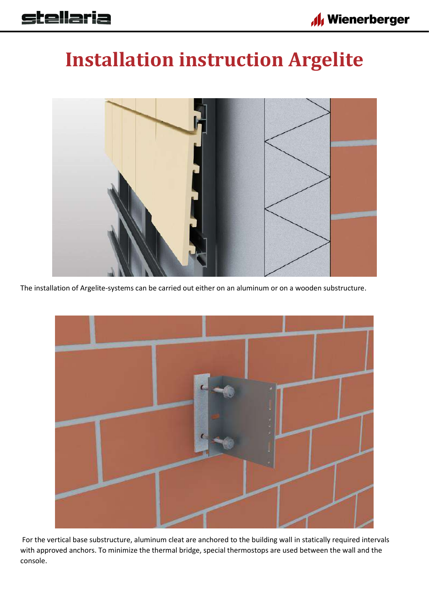## **Installation instruction Argelite**



The installation of Argelite-systems can be carried out either on an aluminum or on a wooden substructure.



For the vertical base substructure, aluminum cleat are anchored to the building wall in statically required intervals with approved anchors. To minimize the thermal bridge, special thermostops are used between the wall and the console.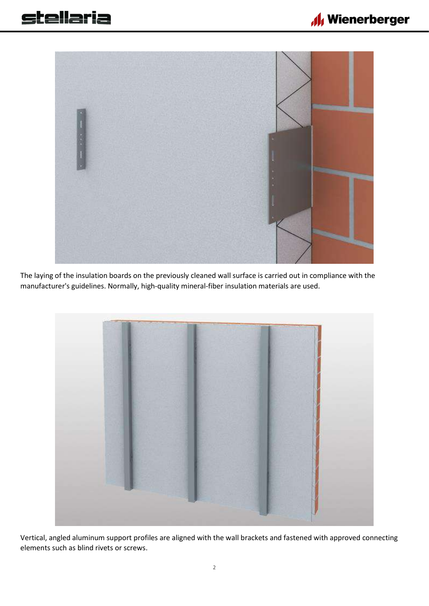

The laying of the insulation boards on the previously cleaned wall surface is carried out in compliance with the manufacturer's guidelines. Normally, high-quality mineral-fiber insulation materials are used.



Vertical, angled aluminum support profiles are aligned with the wall brackets and fastened with approved connecting elements such as blind rivets or screws.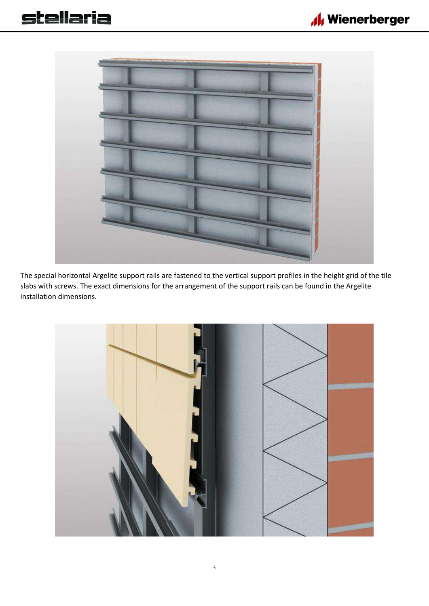



The special horizontal Argelite support rails are fastened to the vertical support profiles in the height grid of the tile slabs with screws. The exact dimensions for the arrangement of the support rails can be found in the Argelite installation dimensions.